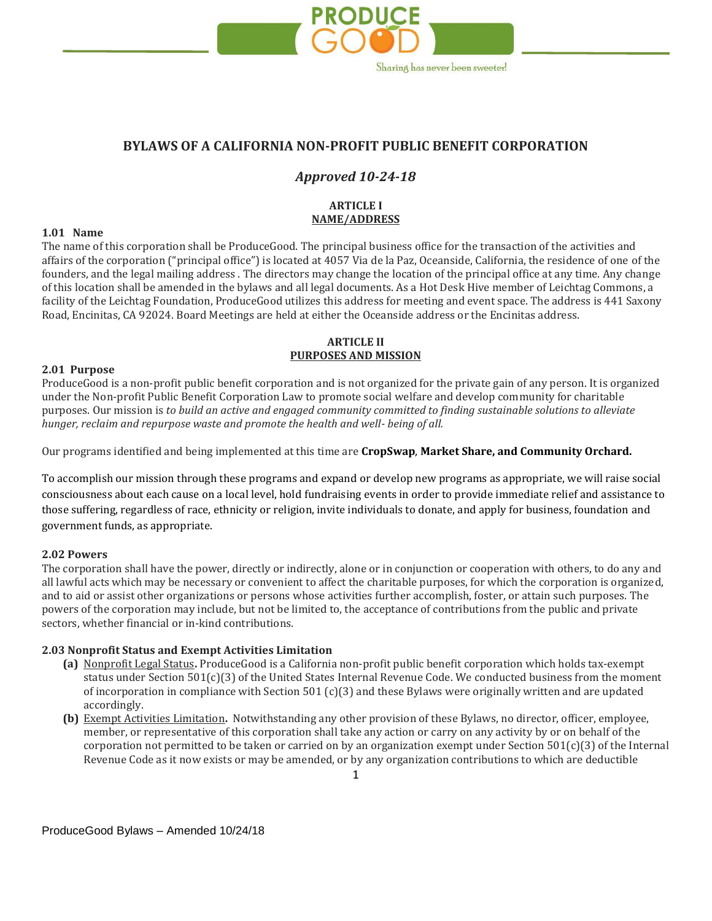

# **BYLAWS OF A CALIFORNIA NON-PROFIT PUBLIC BENEFIT CORPORATION**

# *Approved 10-24-18*

## **ARTICLE I NAME/ADDRESS**

## **1.01 Name**

The name of this corporation shall be ProduceGood. The principal business office for the transaction of the activities and affairs of the corporation ("principal office") is located at 4057 Via de la Paz, Oceanside, California, the residence of one of the founders, and the legal mailing address . The directors may change the location of the principal office at any time. Any change of this location shall be amended in the bylaws and all legal documents. As a Hot Desk Hive member of Leichtag Commons, a facility of the Leichtag Foundation, ProduceGood utilizes this address for meeting and event space. The address is 441 Saxony Road, Encinitas, CA 92024. Board Meetings are held at either the Oceanside address or the Encinitas address.

### **ARTICLE II PURPOSES AND MISSION**

### **2.01 Purpose**

ProduceGood is a non-profit public benefit corporation and is not organized for the private gain of any person. It is organized under the Non-profit Public Benefit Corporation Law to promote social welfare and develop community for charitable purposes. Our mission is *to build an active and engaged community committed to finding sustainable solutions to alleviate hunger, reclaim and repurpose waste and promote the health and well- being of all.*

Our programs identified and being implemented at this time are **CropSwap**, **Market Share, and Community Orchard.**

To accomplish our mission through these programs and expand or develop new programs as appropriate, we will raise social consciousness about each cause on a local level, hold fundraising events in order to provide immediate relief and assistance to those suffering, regardless of race, ethnicity or religion, invite individuals to donate, and apply for business, foundation and government funds, as appropriate.

# **2.02 Powers**

The corporation shall have the power, directly or indirectly, alone or in conjunction or cooperation with others, to do any and all lawful acts which may be necessary or convenient to affect the charitable purposes, for which the corporation is organized, and to aid or assist other organizations or persons whose activities further accomplish, foster, or attain such purposes. The powers of the corporation may include, but not be limited to, the acceptance of contributions from the public and private sectors, whether financial or in-kind contributions.

# **2.03 Nonprofit Status and Exempt Activities Limitation**

- **(a)** Nonprofit Legal Status**.** ProduceGood is a California non-profit public benefit corporation which holds tax-exempt status under Section 501(c)(3) of the United States Internal Revenue Code. We conducted business from the moment of incorporation in compliance with Section 501 (c)(3) and these Bylaws were originally written and are updated accordingly.
- **(b)** Exempt Activities Limitation**.** Notwithstanding any other provision of these Bylaws, no director, officer, employee, member, or representative of this corporation shall take any action or carry on any activity by or on behalf of the corporation not permitted to be taken or carried on by an organization exempt under Section 501(c)(3) of the Internal Revenue Code as it now exists or may be amended, or by any organization contributions to which are deductible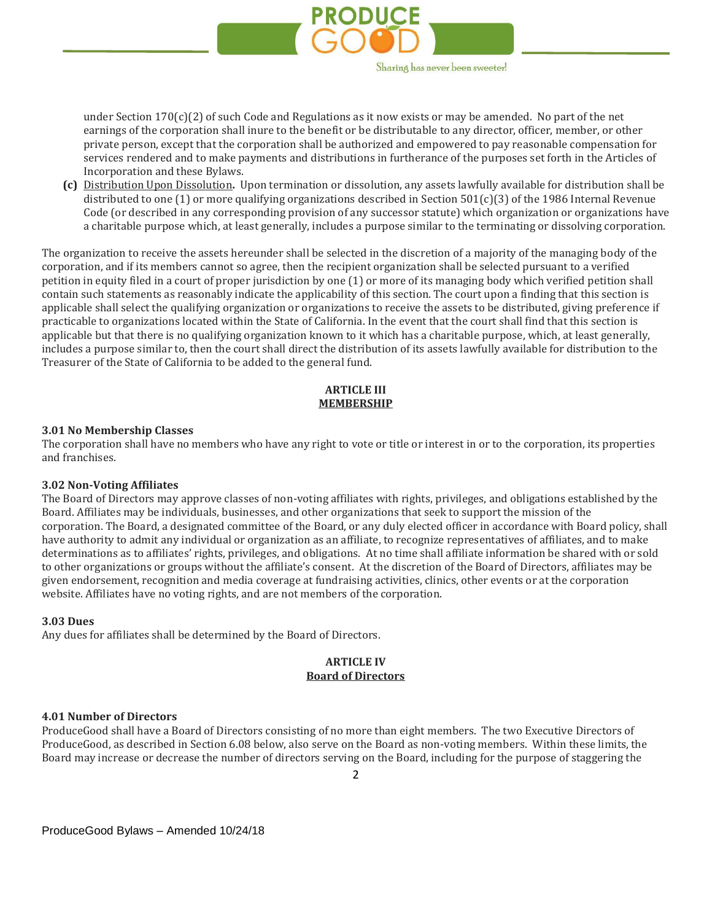

under Section 170(c)(2) of such Code and Regulations as it now exists or may be amended. No part of the net earnings of the corporation shall inure to the benefit or be distributable to any director, officer, member, or other private person, except that the corporation shall be authorized and empowered to pay reasonable compensation for services rendered and to make payments and distributions in furtherance of the purposes set forth in the Articles of Incorporation and these Bylaws.

**(c)** Distribution Upon Dissolution**.** Upon termination or dissolution, any assets lawfully available for distribution shall be distributed to one (1) or more qualifying organizations described in Section  $501(c)(3)$  of the 1986 Internal Revenue Code (or described in any corresponding provision of any successor statute) which organization or organizations have a charitable purpose which, at least generally, includes a purpose similar to the terminating or dissolving corporation.

The organization to receive the assets hereunder shall be selected in the discretion of a majority of the managing body of the corporation, and if its members cannot so agree, then the recipient organization shall be selected pursuant to a verified petition in equity filed in a court of proper jurisdiction by one (1) or more of its managing body which verified petition shall contain such statements as reasonably indicate the applicability of this section. The court upon a finding that this section is applicable shall select the qualifying organization or organizations to receive the assets to be distributed, giving preference if practicable to organizations located within the State of California. In the event that the court shall find that this section is applicable but that there is no qualifying organization known to it which has a charitable purpose, which, at least generally, includes a purpose similar to, then the court shall direct the distribution of its assets lawfully available for distribution to the Treasurer of the State of California to be added to the general fund.

## **ARTICLE III MEMBERSHIP**

### **3.01 No Membership Classes**

The corporation shall have no members who have any right to vote or title or interest in or to the corporation, its properties and franchises.

### **3.02 Non-Voting Affiliates**

The Board of Directors may approve classes of non-voting affiliates with rights, privileges, and obligations established by the Board. Affiliates may be individuals, businesses, and other organizations that seek to support the mission of the corporation. The Board, a designated committee of the Board, or any duly elected officer in accordance with Board policy, shall have authority to admit any individual or organization as an affiliate, to recognize representatives of affiliates, and to make determinations as to affiliates' rights, privileges, and obligations. At no time shall affiliate information be shared with or sold to other organizations or groups without the affiliate's consent. At the discretion of the Board of Directors, affiliates may be given endorsement, recognition and media coverage at fundraising activities, clinics, other events or at the corporation website. Affiliates have no voting rights, and are not members of the corporation.

#### **3.03 Dues**

Any dues for affiliates shall be determined by the Board of Directors.

### **ARTICLE IV Board of Directors**

#### **4.01 Number of Directors**

ProduceGood shall have a Board of Directors consisting of no more than eight members. The two Executive Directors of ProduceGood, as described in Section 6.08 below, also serve on the Board as non-voting members. Within these limits, the Board may increase or decrease the number of directors serving on the Board, including for the purpose of staggering the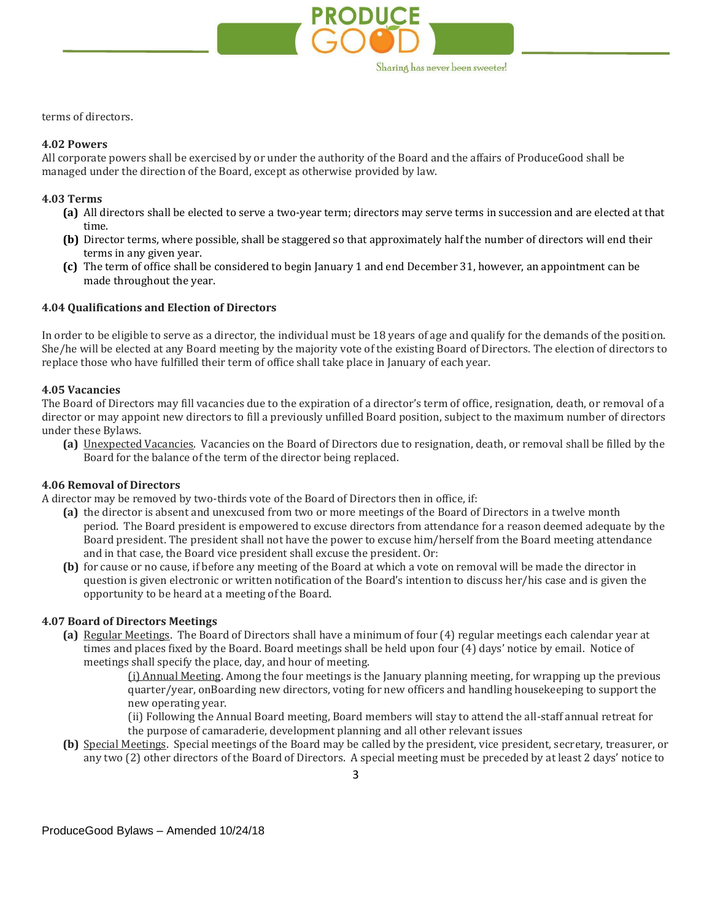

terms of directors.

## **4.02 Powers**

All corporate powers shall be exercised by or under the authority of the Board and the affairs of ProduceGood shall be managed under the direction of the Board, except as otherwise provided by law.

## **4.03 Terms**

- **(a)** All directors shall be elected to serve a two-year term; directors may serve terms in succession and are elected at that time.
- **(b)** Director terms, where possible, shall be staggered so that approximately half the number of directors will end their terms in any given year.
- **(c)** The term of office shall be considered to begin January 1 and end December 31, however, an appointment can be made throughout the year.

## **4.04 Qualifications and Election of Directors**

In order to be eligible to serve as a director, the individual must be 18 years of age and qualify for the demands of the position. She/he will be elected at any Board meeting by the majority vote of the existing Board of Directors. The election of directors to replace those who have fulfilled their term of office shall take place in January of each year.

## **4.05 Vacancies**

The Board of Directors may fill vacancies due to the expiration of a director's term of office, resignation, death, or removal of a director or may appoint new directors to fill a previously unfilled Board position, subject to the maximum number of directors under these Bylaws.

**(a)** Unexpected Vacancies.Vacancies on the Board of Directors due to resignation, death, or removal shall be filled by the Board for the balance of the term of the director being replaced.

## **4.06 Removal of Directors**

A director may be removed by two-thirds vote of the Board of Directors then in office, if:

- **(a)** the director is absent and unexcused from two or more meetings of the Board of Directors in a twelve month period. The Board president is empowered to excuse directors from attendance for a reason deemed adequate by the Board president. The president shall not have the power to excuse him/herself from the Board meeting attendance and in that case, the Board vice president shall excuse the president. Or:
- **(b)** for cause or no cause, if before any meeting of the Board at which a vote on removal will be made the director in question is given electronic or written notification of the Board's intention to discuss her/his case and is given the opportunity to be heard at a meeting of the Board.

## **4.07 Board of Directors Meetings**

**(a)** Regular Meetings. The Board of Directors shall have a minimum of four (4) regular meetings each calendar year at times and places fixed by the Board. Board meetings shall be held upon four (4) days' notice by email. Notice of meetings shall specify the place, day, and hour of meeting.

(i) Annual Meeting. Among the four meetings is the January planning meeting, for wrapping up the previous quarter/year, onBoarding new directors, voting for new officers and handling housekeeping to support the new operating year.

(ii) Following the Annual Board meeting, Board members will stay to attend the all-staff annual retreat for the purpose of camaraderie, development planning and all other relevant issues

**(b)** Special Meetings. Special meetings of the Board may be called by the president, vice president, secretary, treasurer, or any two (2) other directors of the Board of Directors. A special meeting must be preceded by at least 2 days' notice to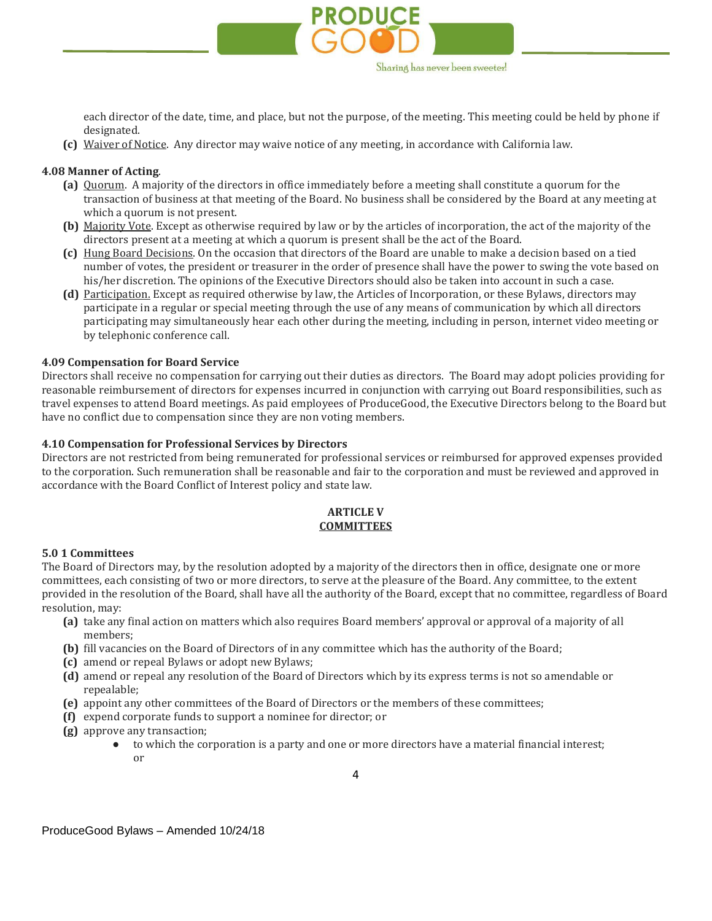

each director of the date, time, and place, but not the purpose, of the meeting. This meeting could be held by phone if designated.

**(c)** Waiver of Notice. Any director may waive notice of any meeting, in accordance with California law.

# **4.08 Manner of Acting**.

- **(a)** Quorum. A majority of the directors in office immediately before a meeting shall constitute a quorum for the transaction of business at that meeting of the Board. No business shall be considered by the Board at any meeting at which a quorum is not present.
- **(b)** Majority Vote. Except as otherwise required by law or by the articles of incorporation, the act of the majority of the directors present at a meeting at which a quorum is present shall be the act of the Board.
- **(c)** Hung Board Decisions. On the occasion that directors of the Board are unable to make a decision based on a tied number of votes, the president or treasurer in the order of presence shall have the power to swing the vote based on his/her discretion. The opinions of the Executive Directors should also be taken into account in such a case.
- **(d)** Participation. Except as required otherwise by law, the Articles of Incorporation, or these Bylaws, directors may participate in a regular or special meeting through the use of any means of communication by which all directors participating may simultaneously hear each other during the meeting, including in person, internet video meeting or by telephonic conference call.

## **4.09 Compensation for Board Service**

Directors shall receive no compensation for carrying out their duties as directors. The Board may adopt policies providing for reasonable reimbursement of directors for expenses incurred in conjunction with carrying out Board responsibilities, such as travel expenses to attend Board meetings. As paid employees of ProduceGood, the Executive Directors belong to the Board but have no conflict due to compensation since they are non voting members.

## **4.10 Compensation for Professional Services by Directors**

Directors are not restricted from being remunerated for professional services or reimbursed for approved expenses provided to the corporation. Such remuneration shall be reasonable and fair to the corporation and must be reviewed and approved in accordance with the Board Conflict of Interest policy and state law.

## **ARTICLE V COMMITTEES**

### **5.0 1 Committees**

The Board of Directors may, by the resolution adopted by a majority of the directors then in office, designate one or more committees, each consisting of two or more directors, to serve at the pleasure of the Board. Any committee, to the extent provided in the resolution of the Board, shall have all the authority of the Board, except that no committee, regardless of Board resolution, may:

- **(a)** take any final action on matters which also requires Board members' approval or approval of a majority of all members;
- **(b)** fill vacancies on the Board of Directors of in any committee which has the authority of the Board;
- **(c)** amend or repeal Bylaws or adopt new Bylaws;
- **(d)** amend or repeal any resolution of the Board of Directors which by its express terms is not so amendable or repealable;
- **(e)** appoint any other committees of the Board of Directors or the members of these committees;
- **(f)** expend corporate funds to support a nominee for director; or
- **(g)** approve any transaction;
	- to which the corporation is a party and one or more directors have a material financial interest; or

ProduceGood Bylaws – Amended 10/24/18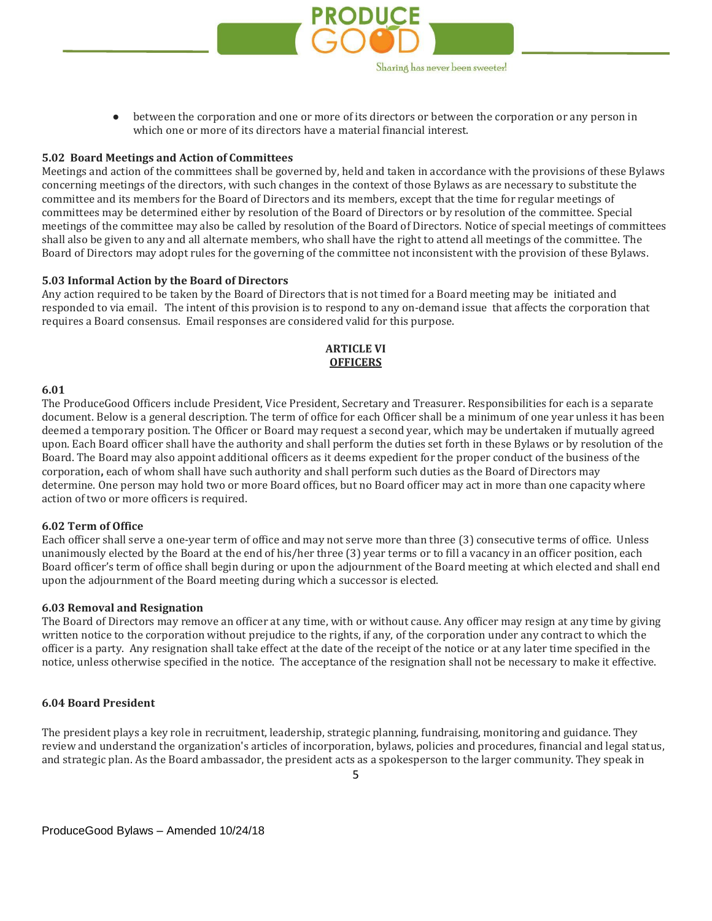

● between the corporation and one or more of its directors or between the corporation or any person in which one or more of its directors have a material financial interest.

## **5.02 Board Meetings and Action of Committees**

Meetings and action of the committees shall be governed by, held and taken in accordance with the provisions of these Bylaws concerning meetings of the directors, with such changes in the context of those Bylaws as are necessary to substitute the committee and its members for the Board of Directors and its members, except that the time for regular meetings of committees may be determined either by resolution of the Board of Directors or by resolution of the committee. Special meetings of the committee may also be called by resolution of the Board of Directors. Notice of special meetings of committees shall also be given to any and all alternate members, who shall have the right to attend all meetings of the committee. The Board of Directors may adopt rules for the governing of the committee not inconsistent with the provision of these Bylaws.

## **5.03 Informal Action by the Board of Directors**

Any action required to be taken by the Board of Directors that is not timed for a Board meeting may be initiated and responded to via email. The intent of this provision is to respond to any on-demand issue that affects the corporation that requires a Board consensus. Email responses are considered valid for this purpose.

# **ARTICLE VI OFFICERS**

### **6.01**

The ProduceGood Officers include President, Vice President, Secretary and Treasurer. Responsibilities for each is a separate document. Below is a general description. The term of office for each Officer shall be a minimum of one year unless it has been deemed a temporary position. The Officer or Board may request a second year, which may be undertaken if mutually agreed upon. Each Board officer shall have the authority and shall perform the duties set forth in these Bylaws or by resolution of the Board. The Board may also appoint additional officers as it deems expedient for the proper conduct of the business of the corporation**,** each of whom shall have such authority and shall perform such duties as the Board of Directors may determine. One person may hold two or more Board offices, but no Board officer may act in more than one capacity where action of two or more officers is required.

### **6.02 Term of Office**

Each officer shall serve a one-year term of office and may not serve more than three (3) consecutive terms of office. Unless unanimously elected by the Board at the end of his/her three (3) year terms or to fill a vacancy in an officer position, each Board officer's term of office shall begin during or upon the adjournment of the Board meeting at which elected and shall end upon the adjournment of the Board meeting during which a successor is elected.

### **6.03 Removal and Resignation**

The Board of Directors may remove an officer at any time, with or without cause. Any officer may resign at any time by giving written notice to the corporation without prejudice to the rights, if any, of the corporation under any contract to which the officer is a party. Any resignation shall take effect at the date of the receipt of the notice or at any later time specified in the notice, unless otherwise specified in the notice. The acceptance of the resignation shall not be necessary to make it effective.

### **6.04 Board President**

The president plays a key role in recruitment, leadership, strategic planning, fundraising, monitoring and guidance. They review and understand the organization's articles of incorporation, bylaws, policies and procedures, financial and legal status, and strategic plan. As the Board ambassador, the president acts as a spokesperson to the larger community. They speak in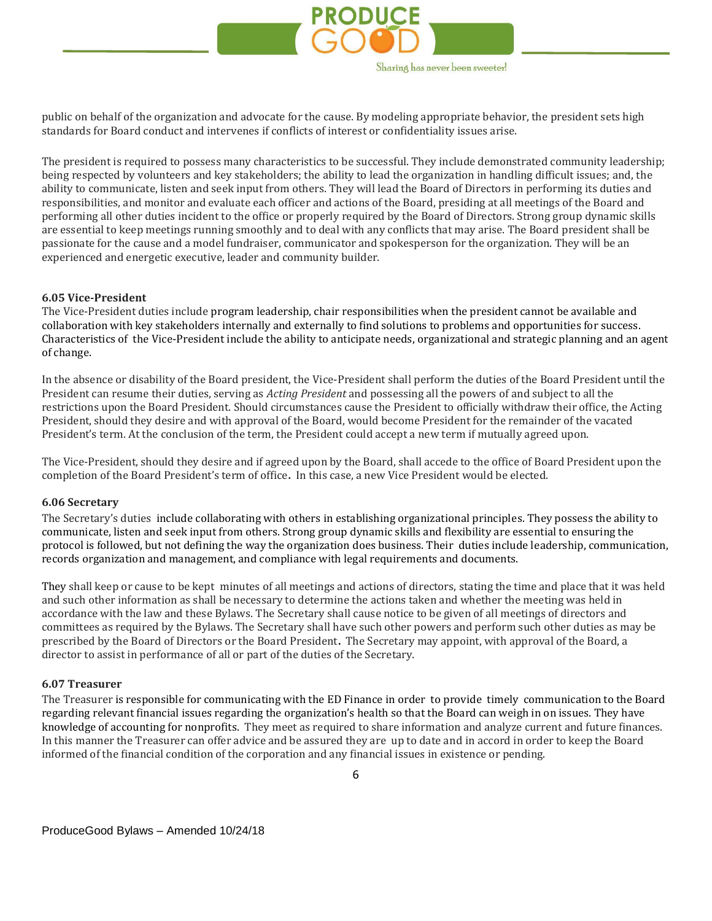

public on behalf of the organization and advocate for the cause. By modeling appropriate behavior, the president sets high standards for Board conduct and intervenes if conflicts of interest or confidentiality issues arise.

The president is required to possess many characteristics to be successful. They include demonstrated community leadership; being respected by volunteers and key stakeholders; the ability to lead the organization in handling difficult issues; and, the ability to communicate, listen and seek input from others. They will lead the Board of Directors in performing its duties and responsibilities, and monitor and evaluate each officer and actions of the Board, presiding at all meetings of the Board and performing all other duties incident to the office or properly required by the Board of Directors. Strong group dynamic skills are essential to keep meetings running smoothly and to deal with any conflicts that may arise. The Board president shall be passionate for the cause and a model fundraiser, communicator and spokesperson for the organization. They will be an experienced and energetic executive, leader and community builder.

### **6.05 Vice-President**

The Vice-President duties include program leadership, chair responsibilities when the president cannot be available and collaboration with key stakeholders internally and externally to find solutions to problems and opportunities for success. Characteristics of the Vice-President include the ability to anticipate needs, organizational and strategic planning and an agent of change.

In the absence or disability of the Board president, the Vice-President shall perform the duties of the Board President until the President can resume their duties, serving as *Acting President* and possessing all the powers of and subject to all the restrictions upon the Board President. Should circumstances cause the President to officially withdraw their office, the Acting President, should they desire and with approval of the Board, would become President for the remainder of the vacated President's term. At the conclusion of the term, the President could accept a new term if mutually agreed upon.

The Vice-President, should they desire and if agreed upon by the Board, shall accede to the office of Board President upon the completion of the Board President's term of office**.** In this case, a new Vice President would be elected.

#### **6.06 Secretary**

The Secretary's duties include collaborating with others in establishing organizational principles. They possess the ability to communicate, listen and seek input from others. Strong group dynamic skills and flexibility are essential to ensuring the protocol is followed, but not defining the way the organization does business. Their duties include leadership, communication, records organization and management, and compliance with legal requirements and documents.

They shall keep or cause to be kept minutes of all meetings and actions of directors, stating the time and place that it was held and such other information as shall be necessary to determine the actions taken and whether the meeting was held in accordance with the law and these Bylaws. The Secretary shall cause notice to be given of all meetings of directors and committees as required by the Bylaws. The Secretary shall have such other powers and perform such other duties as may be prescribed by the Board of Directors or the Board President**.** The Secretary may appoint, with approval of the Board, a director to assist in performance of all or part of the duties of the Secretary.

#### **6.07 Treasurer**

The Treasurer is responsible for communicating with the ED Finance in order to provide timely communication to the Board regarding relevant financial issues regarding the organization's health so that the Board can weigh in on issues. They have knowledge of accounting for nonprofits. They meet as required to share information and analyze current and future finances. In this manner the Treasurer can offer advice and be assured they are up to date and in accord in order to keep the Board informed of the financial condition of the corporation and any financial issues in existence or pending.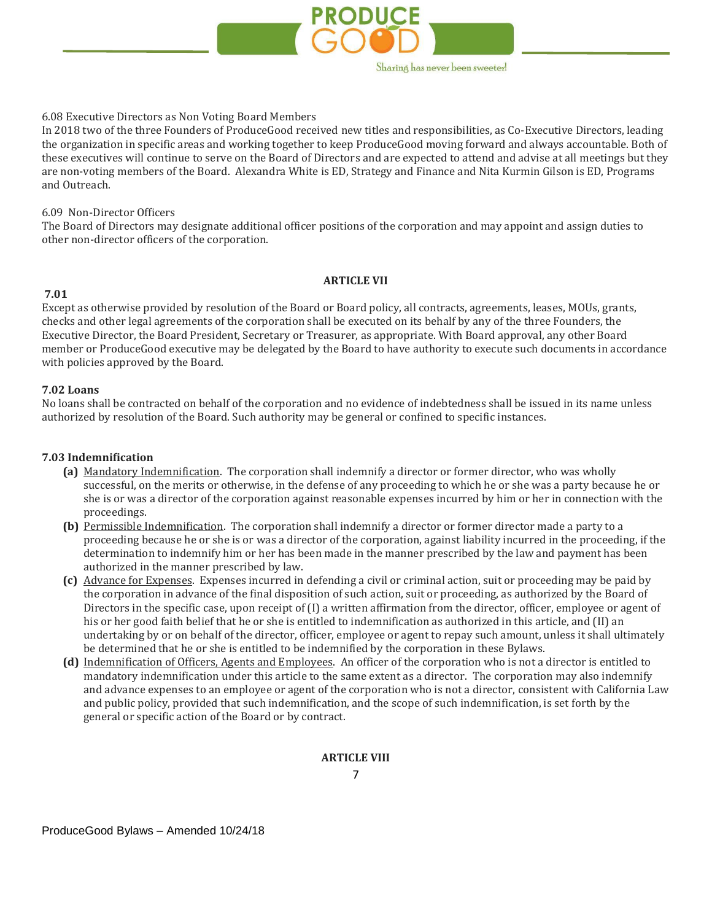

## 6.08 Executive Directors as Non Voting Board Members

In 2018 two of the three Founders of ProduceGood received new titles and responsibilities, as Co-Executive Directors, leading the organization in specific areas and working together to keep ProduceGood moving forward and always accountable. Both of these executives will continue to serve on the Board of Directors and are expected to attend and advise at all meetings but they are non-voting members of the Board. Alexandra White is ED, Strategy and Finance and Nita Kurmin Gilson is ED, Programs and Outreach.

## 6.09 Non-Director Officers

The Board of Directors may designate additional officer positions of the corporation and may appoint and assign duties to other non-director officers of the corporation.

## **ARTICLE VII**

## **7.01**

Except as otherwise provided by resolution of the Board or Board policy, all contracts, agreements, leases, MOUs, grants, checks and other legal agreements of the corporation shall be executed on its behalf by any of the three Founders, the Executive Director, the Board President, Secretary or Treasurer, as appropriate. With Board approval, any other Board member or ProduceGood executive may be delegated by the Board to have authority to execute such documents in accordance with policies approved by the Board.

### **7.02 Loans**

No loans shall be contracted on behalf of the corporation and no evidence of indebtedness shall be issued in its name unless authorized by resolution of the Board. Such authority may be general or confined to specific instances.

## **7.03 Indemnification**

- **(a)** Mandatory Indemnification.The corporation shall indemnify a director or former director, who was wholly successful, on the merits or otherwise, in the defense of any proceeding to which he or she was a party because he or she is or was a director of the corporation against reasonable expenses incurred by him or her in connection with the proceedings.
- **(b)** Permissible Indemnification.The corporation shall indemnify a director or former director made a party to a proceeding because he or she is or was a director of the corporation, against liability incurred in the proceeding, if the determination to indemnify him or her has been made in the manner prescribed by the law and payment has been authorized in the manner prescribed by law.
- **(c)** Advance for Expenses.Expenses incurred in defending a civil or criminal action, suit or proceeding may be paid by the corporation in advance of the final disposition of such action, suit or proceeding, as authorized by the Board of Directors in the specific case, upon receipt of (I) a written affirmation from the director, officer, employee or agent of his or her good faith belief that he or she is entitled to indemnification as authorized in this article, and (II) an undertaking by or on behalf of the director, officer, employee or agent to repay such amount, unless it shall ultimately be determined that he or she is entitled to be indemnified by the corporation in these Bylaws.
- **(d)** Indemnification of Officers, Agents and Employees.An officer of the corporation who is not a director is entitled to mandatory indemnification under this article to the same extent as a director. The corporation may also indemnify and advance expenses to an employee or agent of the corporation who is not a director, consistent with California Law and public policy, provided that such indemnification, and the scope of such indemnification, is set forth by the general or specific action of the Board or by contract.

### **ARTICLE VIII**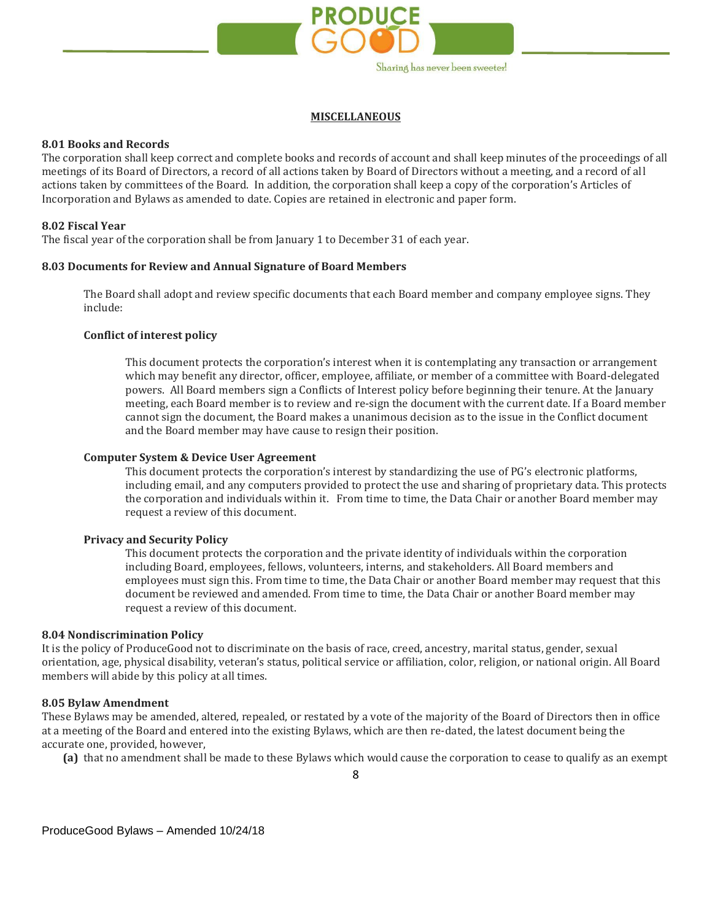

#### **MISCELLANEOUS**

#### **8.01 Books and Records**

The corporation shall keep correct and complete books and records of account and shall keep minutes of the proceedings of all meetings of its Board of Directors, a record of all actions taken by Board of Directors without a meeting, and a record of all actions taken by committees of the Board. In addition, the corporation shall keep a copy of the corporation's Articles of Incorporation and Bylaws as amended to date. Copies are retained in electronic and paper form.

#### **8.02 Fiscal Year**

The fiscal year of the corporation shall be from January 1 to December 31 of each year.

#### **8.03 Documents for Review and Annual Signature of Board Members**

The Board shall adopt and review specific documents that each Board member and company employee signs. They include:

#### **Conflict of interest policy**

This document protects the corporation's interest when it is contemplating any transaction or arrangement which may benefit any director, officer, employee, affiliate, or member of a committee with Board-delegated powers. All Board members sign a Conflicts of Interest policy before beginning their tenure. At the January meeting, each Board member is to review and re-sign the document with the current date. If a Board member cannot sign the document, the Board makes a unanimous decision as to the issue in the Conflict document and the Board member may have cause to resign their position.

#### **Computer System & Device User Agreement**

This document protects the corporation's interest by standardizing the use of PG's electronic platforms, including email, and any computers provided to protect the use and sharing of proprietary data. This protects the corporation and individuals within it. From time to time, the Data Chair or another Board member may request a review of this document.

#### **Privacy and Security Policy**

This document protects the corporation and the private identity of individuals within the corporation including Board, employees, fellows, volunteers, interns, and stakeholders. All Board members and employees must sign this. From time to time, the Data Chair or another Board member may request that this document be reviewed and amended. From time to time, the Data Chair or another Board member may request a review of this document.

#### **8.04 Nondiscrimination Policy**

It is the policy of ProduceGood not to discriminate on the basis of race, creed, ancestry, marital status, gender, sexual orientation, age, physical disability, veteran's status, political service or affiliation, color, religion, or national origin. All Board members will abide by this policy at all times.

#### **8.05 Bylaw Amendment**

These Bylaws may be amended, altered, repealed, or restated by a vote of the majority of the Board of Directors then in office at a meeting of the Board and entered into the existing Bylaws, which are then re-dated, the latest document being the accurate one, provided, however,

**(a)** that no amendment shall be made to these Bylaws which would cause the corporation to cease to qualify as an exempt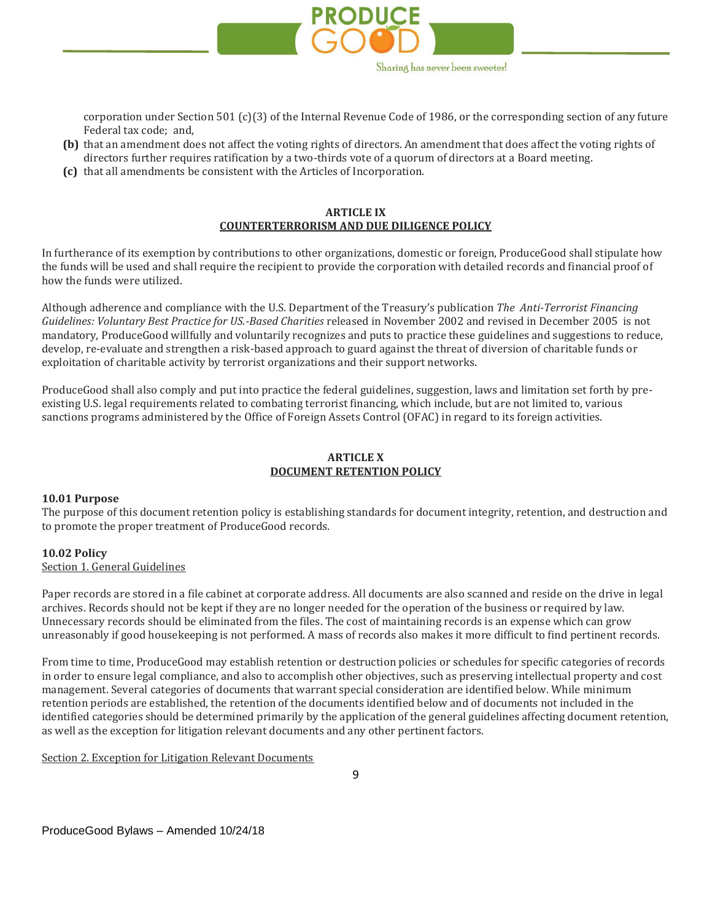

corporation under Section 501 (c)(3) of the Internal Revenue Code of 1986, or the corresponding section of any future Federal tax code; and,

- **(b)** that an amendment does not affect the voting rights of directors. An amendment that does affect the voting rights of directors further requires ratification by a two-thirds vote of a quorum of directors at a Board meeting.
- **(c)** that all amendments be consistent with the Articles of Incorporation.

### **ARTICLE IX COUNTERTERRORISM AND DUE DILIGENCE POLICY**

In furtherance of its exemption by contributions to other organizations, domestic or foreign, ProduceGood shall stipulate how the funds will be used and shall require the recipient to provide the corporation with detailed records and financial proof of how the funds were utilized.

Although adherence and compliance with the U.S. Department of the Treasury's publication *The Anti-Terrorist Financing Guidelines: Voluntary Best Practice for US.-Based Charities* released in November 2002 and revised in December 2005 is not mandatory, ProduceGood willfully and voluntarily recognizes and puts to practice these guidelines and suggestions to reduce, develop, re-evaluate and strengthen a risk-based approach to guard against the threat of diversion of charitable funds or exploitation of charitable activity by terrorist organizations and their support networks.

ProduceGood shall also comply and put into practice the federal guidelines, suggestion, laws and limitation set forth by preexisting U.S. legal requirements related to combating terrorist financing, which include, but are not limited to, various sanctions programs administered by the Office of Foreign Assets Control (OFAC) in regard to its foreign activities.

# **ARTICLE X DOCUMENT RETENTION POLICY**

# **10.01 Purpose**

The purpose of this document retention policy is establishing standards for document integrity, retention, and destruction and to promote the proper treatment of ProduceGood records.

# **10.02 Policy**

Section 1. General Guidelines

Paper records are stored in a file cabinet at corporate address. All documents are also scanned and reside on the drive in legal archives. Records should not be kept if they are no longer needed for the operation of the business or required by law. Unnecessary records should be eliminated from the files. The cost of maintaining records is an expense which can grow unreasonably if good housekeeping is not performed. A mass of records also makes it more difficult to find pertinent records.

From time to time, ProduceGood may establish retention or destruction policies or schedules for specific categories of records in order to ensure legal compliance, and also to accomplish other objectives, such as preserving intellectual property and cost management. Several categories of documents that warrant special consideration are identified below. While minimum retention periods are established, the retention of the documents identified below and of documents not included in the identified categories should be determined primarily by the application of the general guidelines affecting document retention, as well as the exception for litigation relevant documents and any other pertinent factors.

Section 2. Exception for Litigation Relevant Documents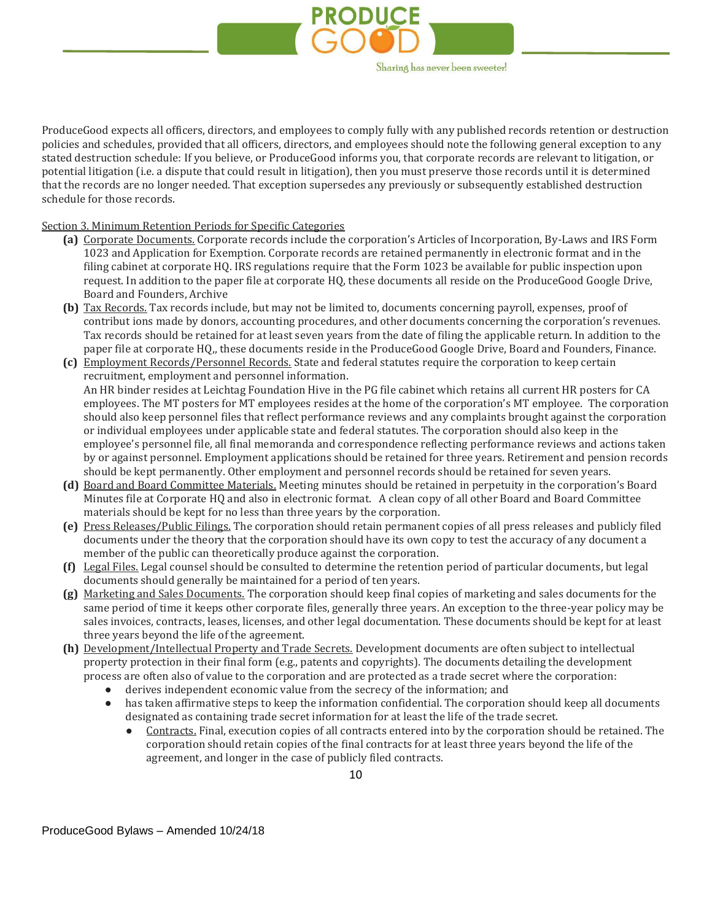

ProduceGood expects all officers, directors, and employees to comply fully with any published records retention or destruction policies and schedules, provided that all officers, directors, and employees should note the following general exception to any stated destruction schedule: If you believe, or ProduceGood informs you, that corporate records are relevant to litigation, or potential litigation (i.e. a dispute that could result in litigation), then you must preserve those records until it is determined that the records are no longer needed. That exception supersedes any previously or subsequently established destruction schedule for those records.

# Section 3. Minimum Retention Periods for Specific Categories

- **(a)** Corporate Documents. Corporate records include the corporation's Articles of Incorporation, By-Laws and IRS Form 1023 and Application for Exemption. Corporate records are retained permanently in electronic format and in the filing cabinet at corporate HQ. IRS regulations require that the Form 1023 be available for public inspection upon request. In addition to the paper file at corporate HQ, these documents all reside on the ProduceGood Google Drive, Board and Founders, Archive
- **(b)** Tax Records. Tax records include, but may not be limited to, documents concerning payroll, expenses, proof of contribut ions made by donors, accounting procedures, and other documents concerning the corporation's revenues. Tax records should be retained for at least seven years from the date of filing the applicable return. In addition to the paper file at corporate HQ,, these documents reside in the ProduceGood Google Drive, Board and Founders, Finance.
- **(c)** Employment Records/Personnel Records. State and federal statutes require the corporation to keep certain recruitment, employment and personnel information. An HR binder resides at Leichtag Foundation Hive in the PG file cabinet which retains all current HR posters for CA employees. The MT posters for MT employees resides at the home of the corporation's MT employee. The corporation should also keep personnel files that reflect performance reviews and any complaints brought against the corporation or individual employees under applicable state and federal statutes. The corporation should also keep in the employee's personnel file, all final memoranda and correspondence reflecting performance reviews and actions taken by or against personnel. Employment applications should be retained for three years. Retirement and pension records should be kept permanently. Other employment and personnel records should be retained for seven years.
- **(d)** Board and Board Committee Materials. Meeting minutes should be retained in perpetuity in the corporation's Board Minutes file at Corporate HQ and also in electronic format. A clean copy of all other Board and Board Committee materials should be kept for no less than three years by the corporation.
- **(e)** Press Releases/Public Filings. The corporation should retain permanent copies of all press releases and publicly filed documents under the theory that the corporation should have its own copy to test the accuracy of any document a member of the public can theoretically produce against the corporation.
- **(f)** Legal Files. Legal counsel should be consulted to determine the retention period of particular documents, but legal documents should generally be maintained for a period of ten years.
- **(g)** Marketing and Sales Documents. The corporation should keep final copies of marketing and sales documents for the same period of time it keeps other corporate files, generally three years. An exception to the three-year policy may be sales invoices, contracts, leases, licenses, and other legal documentation. These documents should be kept for at least three years beyond the life of the agreement.
- **(h)** Development/Intellectual Property and Trade Secrets. Development documents are often subject to intellectual property protection in their final form (e.g., patents and copyrights). The documents detailing the development process are often also of value to the corporation and are protected as a trade secret where the corporation:
	- derives independent economic value from the secrecy of the information; and
	- has taken affirmative steps to keep the information confidential. The corporation should keep all documents designated as containing trade secret information for at least the life of the trade secret.
		- Contracts. Final, execution copies of all contracts entered into by the corporation should be retained. The corporation should retain copies of the final contracts for at least three years beyond the life of the agreement, and longer in the case of publicly filed contracts.

ProduceGood Bylaws – Amended 10/24/18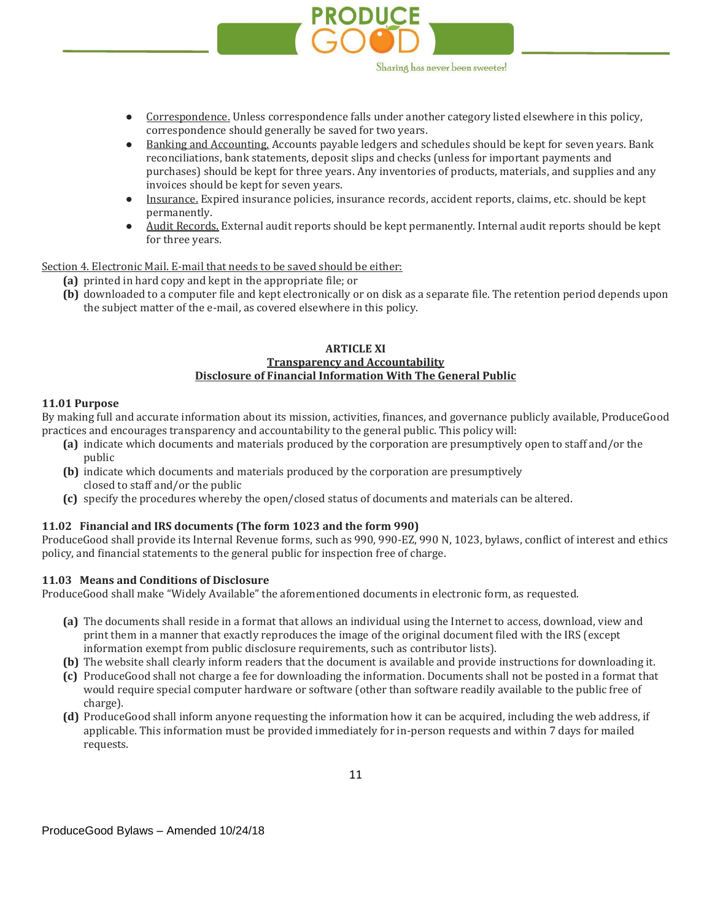

- Correspondence. Unless correspondence falls under another category listed elsewhere in this policy, correspondence should generally be saved for two years.
- Banking and Accounting. Accounts payable ledgers and schedules should be kept for seven years. Bank reconciliations, bank statements, deposit slips and checks (unless for important payments and purchases) should be kept for three years. Any inventories of products, materials, and supplies and any invoices should be kept for seven years.
- Insurance. Expired insurance policies, insurance records, accident reports, claims, etc. should be kept permanently.
- Audit Records. External audit reports should be kept permanently. Internal audit reports should be kept for three years.

Section 4. Electronic Mail. E-mail that needs to be saved should be either:

- **(a)** printed in hard copy and kept in the appropriate file; or
- **(b)** downloaded to a computer file and kept electronically or on disk as a separate file. The retention period depends upon the subject matter of the e-mail, as covered elsewhere in this policy.

## **ARTICLE XI Transparency and Accountability Disclosure of Financial Information With The General Public**

## **11.01 Purpose**

By making full and accurate information about its mission, activities, finances, and governance publicly available, ProduceGood practices and encourages transparency and accountability to the general public. This policy will:

- **(a)** indicate which documents and materials produced by the corporation are presumptively open to staff and/or the public
- **(b)** indicate which documents and materials produced by the corporation are presumptively closed to staff and/or the public
- **(c)** specify the procedures whereby the open/closed status of documents and materials can be altered.

# **11.02 Financial and IRS documents (The form 1023 and the form 990)**

ProduceGood shall provide its Internal Revenue forms, such as 990, 990-EZ, 990 N, 1023, bylaws, conflict of interest and ethics policy, and financial statements to the general public for inspection free of charge.

# **11.03 Means and Conditions of Disclosure**

ProduceGood shall make "Widely Available" the aforementioned documents in electronic form, as requested.

- **(a)** The documents shall reside in a format that allows an individual using the Internet to access, download, view and print them in a manner that exactly reproduces the image of the original document filed with the IRS (except information exempt from public disclosure requirements, such as contributor lists).
- **(b)** The website shall clearly inform readers that the document is available and provide instructions for downloading it.
- **(c)** ProduceGood shall not charge a fee for downloading the information. Documents shall not be posted in a format that would require special computer hardware or software (other than software readily available to the public free of charge).
- **(d)** ProduceGood shall inform anyone requesting the information how it can be acquired, including the web address, if applicable. This information must be provided immediately for in-person requests and within 7 days for mailed requests.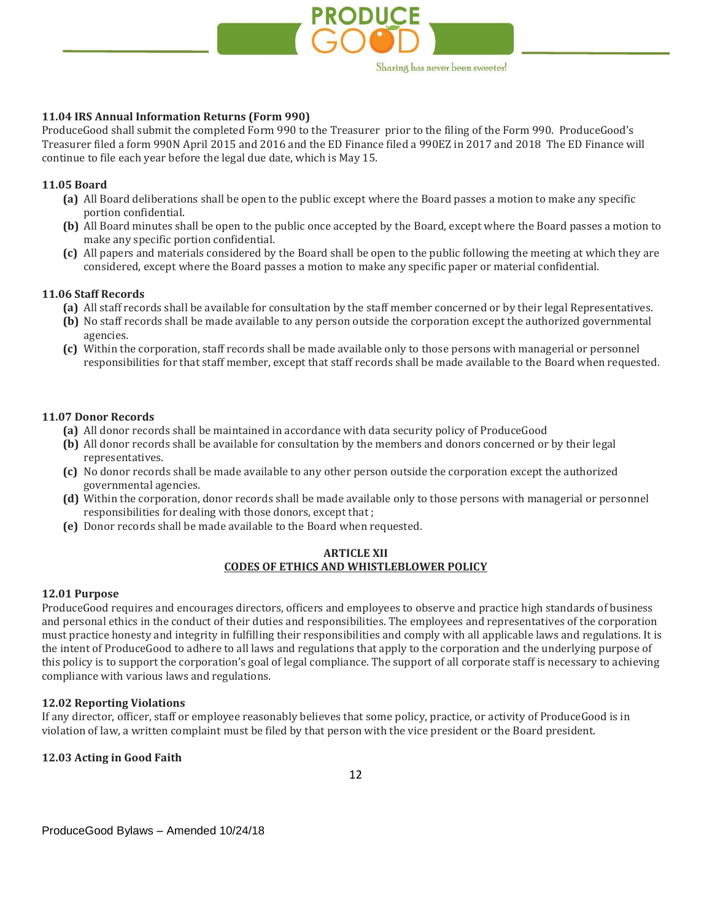

# **11.04 IRS Annual Information Returns (Form 990)**

ProduceGood shall submit the completed Form 990 to the Treasurer prior to the filing of the Form 990. ProduceGood's Treasurer filed a form 990N April 2015 and 2016 and the ED Finance filed a 990EZ in 2017 and 2018 The ED Finance will continue to file each year before the legal due date, which is May 15.

## **11.05 Board**

- **(a)** All Board deliberations shall be open to the public except where the Board passes a motion to make any specific portion confidential.
- **(b)** All Board minutes shall be open to the public once accepted by the Board, except where the Board passes a motion to make any specific portion confidential.
- **(c)** All papers and materials considered by the Board shall be open to the public following the meeting at which they are considered, except where the Board passes a motion to make any specific paper or material confidential.

## **11.06 Staff Records**

- **(a)** All staff records shall be available for consultation by the staff member concerned or by their legal Representatives.
- **(b)** No staff records shall be made available to any person outside the corporation except the authorized governmental agencies.
- **(c)** Within the corporation, staff records shall be made available only to those persons with managerial or personnel responsibilities for that staff member, except that staff records shall be made available to the Board when requested.

### **11.07 Donor Records**

- **(a)** All donor records shall be maintained in accordance with data security policy of ProduceGood
- **(b)** All donor records shall be available for consultation by the members and donors concerned or by their legal representatives.
- **(c)** No donor records shall be made available to any other person outside the corporation except the authorized governmental agencies.
- **(d)** Within the corporation, donor records shall be made available only to those persons with managerial or personnel responsibilities for dealing with those donors, except that ;
- **(e)** Donor records shall be made available to the Board when requested.

### **ARTICLE XII CODES OF ETHICS AND WHISTLEBLOWER POLICY**

### **12.01 Purpose**

ProduceGood requires and encourages directors, officers and employees to observe and practice high standards of business and personal ethics in the conduct of their duties and responsibilities. The employees and representatives of the corporation must practice honesty and integrity in fulfilling their responsibilities and comply with all applicable laws and regulations. It is the intent of ProduceGood to adhere to all laws and regulations that apply to the corporation and the underlying purpose of this policy is to support the corporation's goal of legal compliance. The support of all corporate staff is necessary to achieving compliance with various laws and regulations.

### **12.02 Reporting Violations**

If any director, officer, staff or employee reasonably believes that some policy, practice, or activity of ProduceGood is in violation of law, a written complaint must be filed by that person with the vice president or the Board president.

# **12.03 Acting in Good Faith**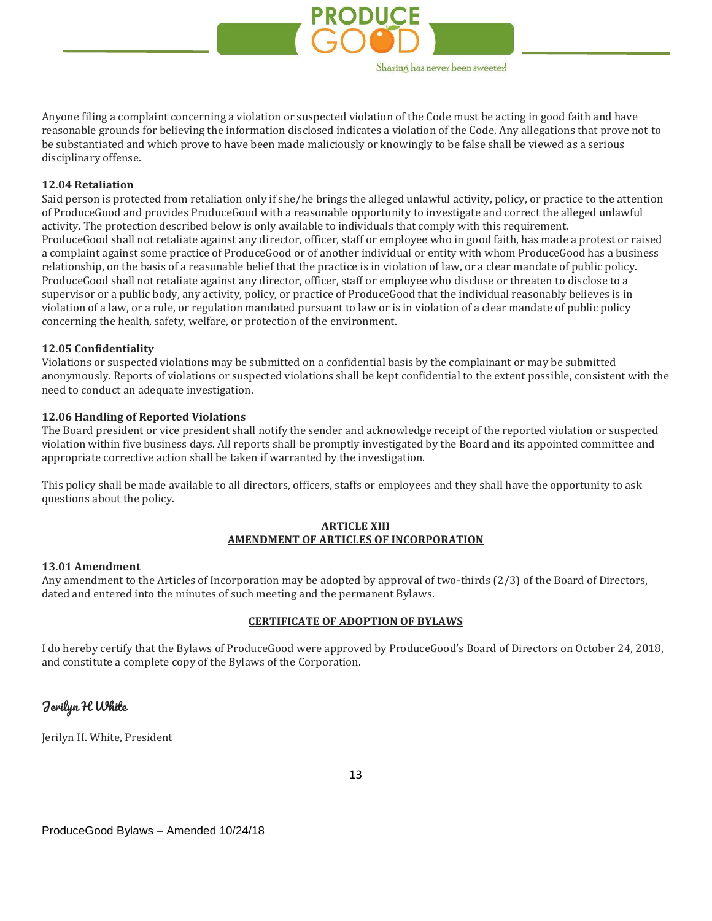

Anyone filing a complaint concerning a violation or suspected violation of the Code must be acting in good faith and have reasonable grounds for believing the information disclosed indicates a violation of the Code. Any allegations that prove not to be substantiated and which prove to have been made maliciously or knowingly to be false shall be viewed as a serious disciplinary offense.

## **12.04 Retaliation**

Said person is protected from retaliation only if she/he brings the alleged unlawful activity, policy, or practice to the attention of ProduceGood and provides ProduceGood with a reasonable opportunity to investigate and correct the alleged unlawful activity. The protection described below is only available to individuals that comply with this requirement. ProduceGood shall not retaliate against any director, officer, staff or employee who in good faith, has made a protest or raised a complaint against some practice of ProduceGood or of another individual or entity with whom ProduceGood has a business relationship, on the basis of a reasonable belief that the practice is in violation of law, or a clear mandate of public policy. ProduceGood shall not retaliate against any director, officer, staff or employee who disclose or threaten to disclose to a supervisor or a public body, any activity, policy, or practice of ProduceGood that the individual reasonably believes is in violation of a law, or a rule, or regulation mandated pursuant to law or is in violation of a clear mandate of public policy concerning the health, safety, welfare, or protection of the environment.

## **12.05 Confidentiality**

Violations or suspected violations may be submitted on a confidential basis by the complainant or may be submitted anonymously. Reports of violations or suspected violations shall be kept confidential to the extent possible, consistent with the need to conduct an adequate investigation.

## **12.06 Handling of Reported Violations**

The Board president or vice president shall notify the sender and acknowledge receipt of the reported violation or suspected violation within five business days. All reports shall be promptly investigated by the Board and its appointed committee and appropriate corrective action shall be taken if warranted by the investigation.

This policy shall be made available to all directors, officers, staffs or employees and they shall have the opportunity to ask questions about the policy.

#### **ARTICLE XIII AMENDMENT OF ARTICLES OF INCORPORATION**

### **13.01 Amendment**

Any amendment to the Articles of Incorporation may be adopted by approval of two-thirds (2/3) of the Board of Directors, dated and entered into the minutes of such meeting and the permanent Bylaws.

### **CERTIFICATE OF ADOPTION OF BYLAWS**

I do hereby certify that the Bylaws of ProduceGood were approved by ProduceGood's Board of Directors on October 24, 2018, and constitute a complete copy of the Bylaws of the Corporation.

# Jerilyn H White

Jerilyn H. White, President